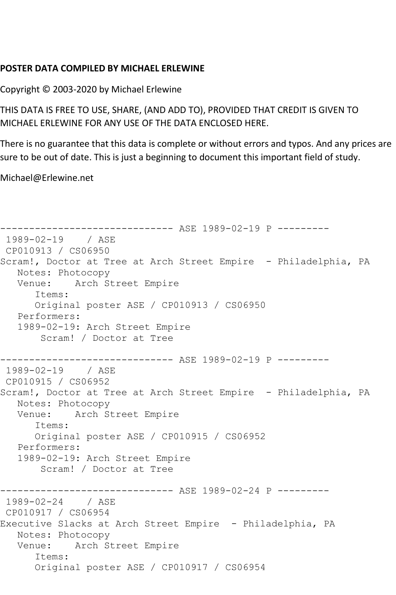## **POSTER DATA COMPILED BY MICHAEL ERLEWINE**

Copyright © 2003-2020 by Michael Erlewine

THIS DATA IS FREE TO USE, SHARE, (AND ADD TO), PROVIDED THAT CREDIT IS GIVEN TO MICHAEL ERLEWINE FOR ANY USE OF THE DATA ENCLOSED HERE.

There is no guarantee that this data is complete or without errors and typos. And any prices are sure to be out of date. This is just a beginning to document this important field of study.

Michael@Erlewine.net

```
------------------------------ ASE 1989-02-19 P ---------
1989-02-19 / ASE 
CP010913 / CS06950
Scram!, Doctor at Tree at Arch Street Empire - Philadelphia, PA
   Notes: Photocopy
   Venue: Arch Street Empire
       Items:
      Original poster ASE / CP010913 / CS06950
   Performers:
   1989-02-19: Arch Street Empire
        Scram! / Doctor at Tree
                   ------------------------------ ASE 1989-02-19 P ---------
1989-02-19 / ASE 
CP010915 / CS06952
Scram!, Doctor at Tree at Arch Street Empire - Philadelphia, PA
   Notes: Photocopy
   Venue: Arch Street Empire
       Items:
      Original poster ASE / CP010915 / CS06952
   Performers:
   1989-02-19: Arch Street Empire
        Scram! / Doctor at Tree
------------------------------ ASE 1989-02-24 P ---------
1989-02-24 / ASE 
CP010917 / CS06954
Executive Slacks at Arch Street Empire - Philadelphia, PA
   Notes: Photocopy
   Venue: Arch Street Empire
       Items:
      Original poster ASE / CP010917 / CS06954
```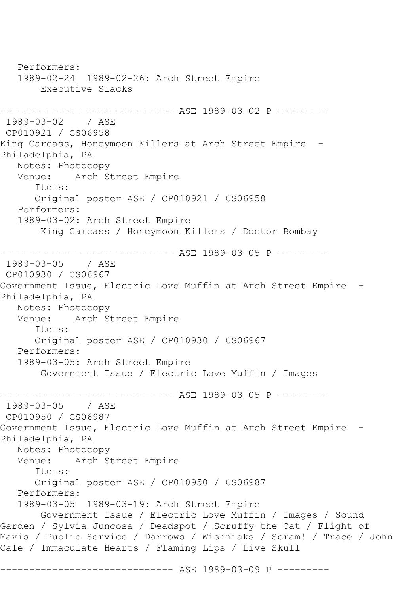Performers: 1989-02-24 1989-02-26: Arch Street Empire Executive Slacks ------------------------------ ASE 1989-03-02 P --------- 1989-03-02 / ASE CP010921 / CS06958 King Carcass, Honeymoon Killers at Arch Street Empire -Philadelphia, PA Notes: Photocopy<br>Venue: Arch S Arch Street Empire Items: Original poster ASE / CP010921 / CS06958 Performers: 1989-03-02: Arch Street Empire King Carcass / Honeymoon Killers / Doctor Bombay ------------- ASE 1989-03-05 P ---------1989-03-05 / ASE CP010930 / CS06967 Government Issue, Electric Love Muffin at Arch Street Empire -Philadelphia, PA Notes: Photocopy<br>Venue: Arch S Arch Street Empire Items: Original poster ASE / CP010930 / CS06967 Performers: 1989-03-05: Arch Street Empire Government Issue / Electric Love Muffin / Images ------------------------------ ASE 1989-03-05 P --------- 1989-03-05 / ASE CP010950 / CS06987 Government Issue, Electric Love Muffin at Arch Street Empire - Philadelphia, PA Notes: Photocopy<br>Venue: Arch S Arch Street Empire Items: Original poster ASE / CP010950 / CS06987 Performers: 1989-03-05 1989-03-19: Arch Street Empire Government Issue / Electric Love Muffin / Images / Sound Garden / Sylvia Juncosa / Deadspot / Scruffy the Cat / Flight of Mavis / Public Service / Darrows / Wishniaks / Scram! / Trace / John Cale / Immaculate Hearts / Flaming Lips / Live Skull ------------------------------ ASE 1989-03-09 P ---------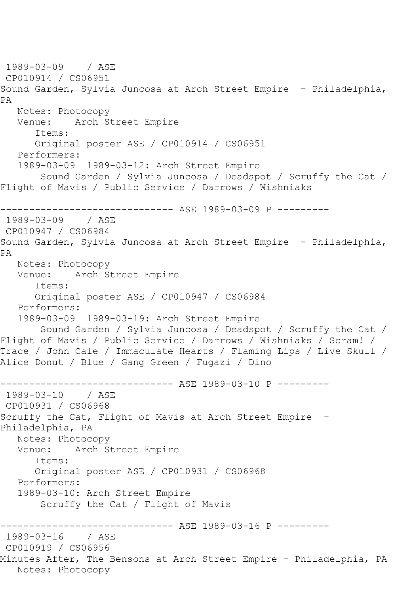1989-03-09 / ASE CP010914 / CS06951 Sound Garden, Sylvia Juncosa at Arch Street Empire - Philadelphia, PA Notes: Photocopy Venue: Arch Street Empire Items: Original poster ASE / CP010914 / CS06951 Performers: 1989-03-09 1989-03-12: Arch Street Empire Sound Garden / Sylvia Juncosa / Deadspot / Scruffy the Cat / Flight of Mavis / Public Service / Darrows / Wishniaks ------------------------------ ASE 1989-03-09 P --------- 1989-03-09 / ASE CP010947 / CS06984 Sound Garden, Sylvia Juncosa at Arch Street Empire - Philadelphia, PA Notes: Photocopy Venue: Arch Street Empire Items: Original poster ASE / CP010947 / CS06984 Performers: 1989-03-09 1989-03-19: Arch Street Empire Sound Garden / Sylvia Juncosa / Deadspot / Scruffy the Cat / Flight of Mavis / Public Service / Darrows / Wishniaks / Scram! / Trace / John Cale / Immaculate Hearts / Flaming Lips / Live Skull / Alice Donut / Blue / Gang Green / Fugazi / Dino ------------------------------ ASE 1989-03-10 P --------- 1989-03-10 / ASE CP010931 / CS06968 Scruffy the Cat, Flight of Mavis at Arch Street Empire -Philadelphia, PA Notes: Photocopy Venue: Arch Street Empire Items: Original poster ASE / CP010931 / CS06968 Performers: 1989-03-10: Arch Street Empire Scruffy the Cat / Flight of Mavis ------------------------------ ASE 1989-03-16 P --------- 1989-03-16 / ASE CP010919 / CS06956 Minutes After, The Bensons at Arch Street Empire - Philadelphia, PA Notes: Photocopy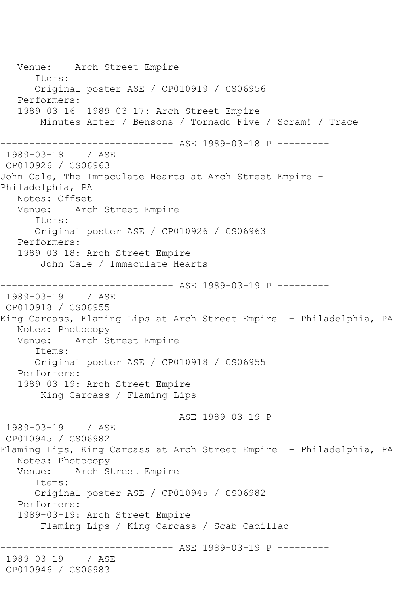Venue: Arch Street Empire Items: Original poster ASE / CP010919 / CS06956 Performers: 1989-03-16 1989-03-17: Arch Street Empire Minutes After / Bensons / Tornado Five / Scram! / Trace ------------------------------ ASE 1989-03-18 P --------- 1989-03-18 / ASE CP010926 / CS06963 John Cale, The Immaculate Hearts at Arch Street Empire - Philadelphia, PA Notes: Offset Venue: Arch Street Empire Items: Original poster ASE / CP010926 / CS06963 Performers: 1989-03-18: Arch Street Empire John Cale / Immaculate Hearts ------------------------------ ASE 1989-03-19 P --------- 1989-03-19 / ASE CP010918 / CS06955 King Carcass, Flaming Lips at Arch Street Empire - Philadelphia, PA Notes: Photocopy Venue: Arch Street Empire Items: Original poster ASE / CP010918 / CS06955 Performers: 1989-03-19: Arch Street Empire King Carcass / Flaming Lips ------------------------------ ASE 1989-03-19 P ---------  $1989 - 03 - 19$ CP010945 / CS06982 Flaming Lips, King Carcass at Arch Street Empire - Philadelphia, PA Notes: Photocopy Venue: Arch Street Empire Items: Original poster ASE / CP010945 / CS06982 Performers: 1989-03-19: Arch Street Empire Flaming Lips / King Carcass / Scab Cadillac ------------------------------ ASE 1989-03-19 P --------- 1989-03-19 / ASE CP010946 / CS06983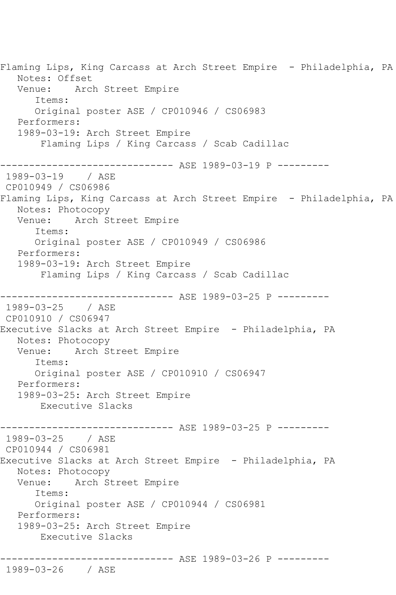Flaming Lips, King Carcass at Arch Street Empire - Philadelphia, PA Notes: Offset Venue: Arch Street Empire Items: Original poster ASE / CP010946 / CS06983 Performers: 1989-03-19: Arch Street Empire Flaming Lips / King Carcass / Scab Cadillac ------------------------------ ASE 1989-03-19 P --------- 1989-03-19 / ASE CP010949 / CS06986 Flaming Lips, King Carcass at Arch Street Empire - Philadelphia, PA Notes: Photocopy Venue: Arch Street Empire Items: Original poster ASE / CP010949 / CS06986 Performers: 1989-03-19: Arch Street Empire Flaming Lips / King Carcass / Scab Cadillac ------------ ASE 1989-03-25 P ---------1989-03-25 / ASE CP010910 / CS06947 Executive Slacks at Arch Street Empire - Philadelphia, PA Notes: Photocopy Venue: Arch Street Empire Items: Original poster ASE / CP010910 / CS06947 Performers: 1989-03-25: Arch Street Empire Executive Slacks ------------------------------ ASE 1989-03-25 P --------- 1989-03-25 / ASE CP010944 / CS06981 Executive Slacks at Arch Street Empire - Philadelphia, PA Notes: Photocopy Venue: Arch Street Empire Items: Original poster ASE / CP010944 / CS06981 Performers: 1989-03-25: Arch Street Empire Executive Slacks ------------------------------ ASE 1989-03-26 P ---------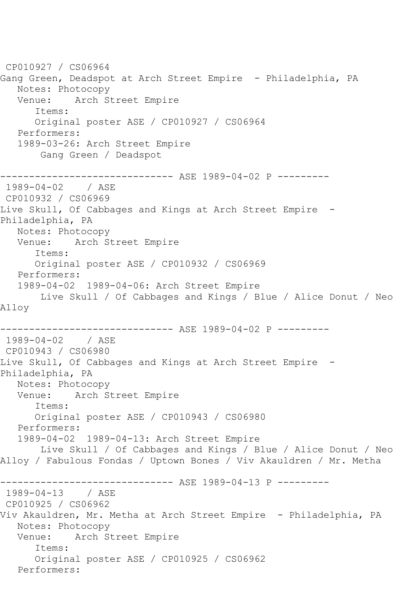CP010927 / CS06964 Gang Green, Deadspot at Arch Street Empire - Philadelphia, PA Notes: Photocopy Venue: Arch Street Empire Items: Original poster ASE / CP010927 / CS06964 Performers: 1989-03-26: Arch Street Empire Gang Green / Deadspot ------------------------------ ASE 1989-04-02 P --------- 1989-04-02 / ASE CP010932 / CS06969 Live Skull, Of Cabbages and Kings at Arch Street Empire - Philadelphia, PA Notes: Photocopy Venue: Arch Street Empire Items: Original poster ASE / CP010932 / CS06969 Performers: 1989-04-02 1989-04-06: Arch Street Empire Live Skull / Of Cabbages and Kings / Blue / Alice Donut / Neo Alloy ------------------------------ ASE 1989-04-02 P --------- 1989-04-02 / ASE CP010943 / CS06980 Live Skull, Of Cabbages and Kings at Arch Street Empire -Philadelphia, PA Notes: Photocopy Venue: Arch Street Empire Items: Original poster ASE / CP010943 / CS06980 Performers: 1989-04-02 1989-04-13: Arch Street Empire Live Skull / Of Cabbages and Kings / Blue / Alice Donut / Neo Alloy / Fabulous Fondas / Uptown Bones / Viv Akauldren / Mr. Metha ------------------------------ ASE 1989-04-13 P --------- 1989-04-13 / ASE CP010925 / CS06962 Viv Akauldren, Mr. Metha at Arch Street Empire - Philadelphia, PA Notes: Photocopy Venue: Arch Street Empire Items: Original poster ASE / CP010925 / CS06962 Performers: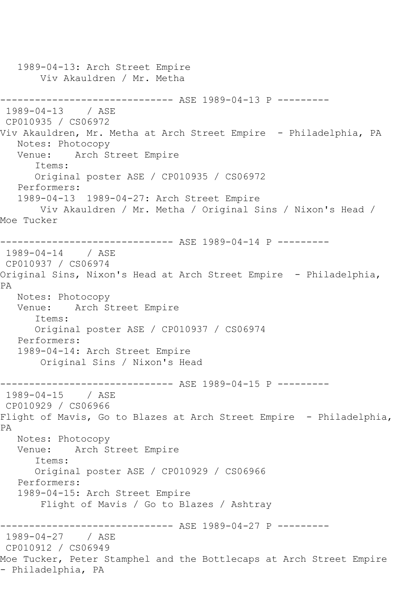1989-04-13: Arch Street Empire Viv Akauldren / Mr. Metha ------------------------------ ASE 1989-04-13 P --------- 1989-04-13 / ASE CP010935 / CS06972 Viv Akauldren, Mr. Metha at Arch Street Empire - Philadelphia, PA Notes: Photocopy Venue: Arch Street Empire Items: Original poster ASE / CP010935 / CS06972 Performers: 1989-04-13 1989-04-27: Arch Street Empire Viv Akauldren / Mr. Metha / Original Sins / Nixon's Head / Moe Tucker ------------------------------ ASE 1989-04-14 P --------- 1989-04-14 / ASE CP010937 / CS06974 Original Sins, Nixon's Head at Arch Street Empire - Philadelphia, PA Notes: Photocopy Venue: Arch Street Empire Items: Original poster ASE / CP010937 / CS06974 Performers: 1989-04-14: Arch Street Empire Original Sins / Nixon's Head ------------------------------ ASE 1989-04-15 P --------- 1989-04-15 / ASE CP010929 / CS06966 Flight of Mavis, Go to Blazes at Arch Street Empire - Philadelphia, PA Notes: Photocopy Venue: Arch Street Empire Items: Original poster ASE / CP010929 / CS06966 Performers: 1989-04-15: Arch Street Empire Flight of Mavis / Go to Blazes / Ashtray ------------------------------ ASE 1989-04-27 P --------- 1989-04-27 / ASE CP010912 / CS06949 Moe Tucker, Peter Stamphel and the Bottlecaps at Arch Street Empire - Philadelphia, PA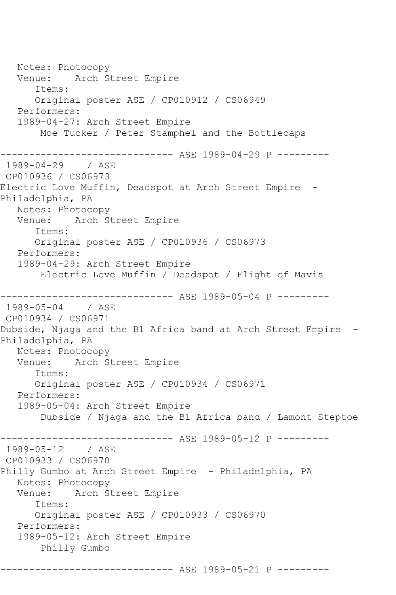Notes: Photocopy Venue: Arch Street Empire Items: Original poster ASE / CP010912 / CS06949 Performers: 1989-04-27: Arch Street Empire Moe Tucker / Peter Stamphel and the Bottlecaps ------------------------------ ASE 1989-04-29 P --------- 1989-04-29 / ASE CP010936 / CS06973 Electric Love Muffin, Deadspot at Arch Street Empire - Philadelphia, PA Notes: Photocopy Venue: Arch Street Empire Items: Original poster ASE / CP010936 / CS06973 Performers: 1989-04-29: Arch Street Empire Electric Love Muffin / Deadspot / Flight of Mavis ------------------------------ ASE 1989-05-04 P --------- 1989-05-04 / ASE CP010934 / CS06971 Dubside, Njaga and the B1 Africa band at Arch Street Empire -Philadelphia, PA Notes: Photocopy Venue: Arch Street Empire Items: Original poster ASE / CP010934 / CS06971 Performers: 1989-05-04: Arch Street Empire Dubside / Njaga and the B1 Africa band / Lamont Steptoe ----------- ASE 1989-05-12 P ----------1989-05-12 / ASE CP010933 / CS06970 Philly Gumbo at Arch Street Empire - Philadelphia, PA Notes: Photocopy Venue: Arch Street Empire Items: Original poster ASE / CP010933 / CS06970 Performers: 1989-05-12: Arch Street Empire Philly Gumbo ------------------------------ ASE 1989-05-21 P ---------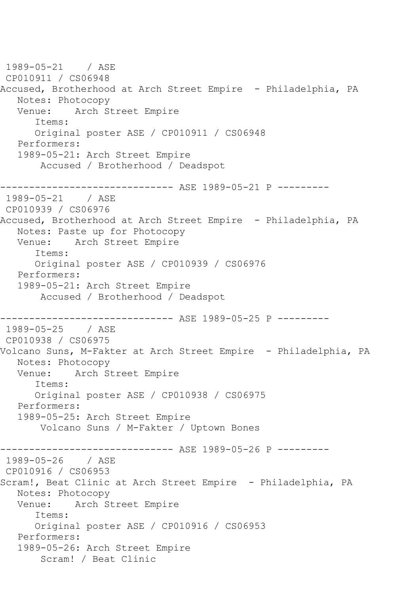1989-05-21 / ASE CP010911 / CS06948 Accused, Brotherhood at Arch Street Empire - Philadelphia, PA Notes: Photocopy<br>Venue: Arch S Arch Street Empire Items: Original poster ASE / CP010911 / CS06948 Performers: 1989-05-21: Arch Street Empire Accused / Brotherhood / Deadspot ------------------------------ ASE 1989-05-21 P --------- 1989-05-21 / ASE CP010939 / CS06976 Accused, Brotherhood at Arch Street Empire - Philadelphia, PA Notes: Paste up for Photocopy Venue: Arch Street Empire Items: Original poster ASE / CP010939 / CS06976 Performers: 1989-05-21: Arch Street Empire Accused / Brotherhood / Deadspot ------------------------------ ASE 1989-05-25 P --------- 1989-05-25 / ASE CP010938 / CS06975 Volcano Suns, M-Fakter at Arch Street Empire - Philadelphia, PA Notes: Photocopy Venue: Arch Street Empire Items: Original poster ASE / CP010938 / CS06975 Performers: 1989-05-25: Arch Street Empire Volcano Suns / M-Fakter / Uptown Bones ------------------------------ ASE 1989-05-26 P --------- 1989-05-26 / ASE CP010916 / CS06953 Scram!, Beat Clinic at Arch Street Empire - Philadelphia, PA Notes: Photocopy Venue: Arch Street Empire Items: Original poster ASE / CP010916 / CS06953 Performers: 1989-05-26: Arch Street Empire Scram! / Beat Clinic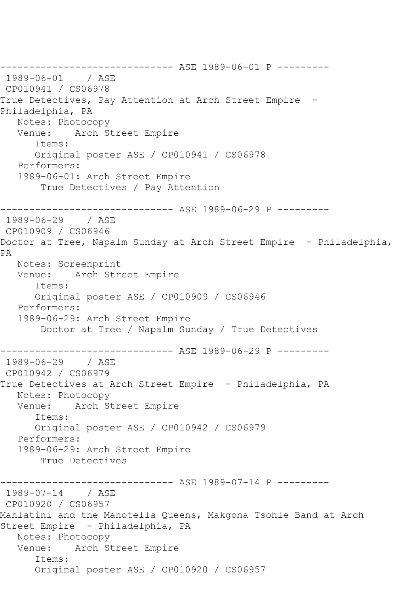------------------------------ ASE 1989-06-01 P --------- 1989-06-01 / ASE CP010941 / CS06978 True Detectives, Pay Attention at Arch Street Empire - Philadelphia, PA Notes: Photocopy Venue: Arch Street Empire Items: Original poster ASE / CP010941 / CS06978 Performers: 1989-06-01: Arch Street Empire True Detectives / Pay Attention ------------------------------ ASE 1989-06-29 P --------- 1989-06-29 / ASE CP010909 / CS06946 Doctor at Tree, Napalm Sunday at Arch Street Empire - Philadelphia, PA Notes: Screenprint Venue: Arch Street Empire Items: Original poster ASE / CP010909 / CS06946 Performers: 1989-06-29: Arch Street Empire Doctor at Tree / Napalm Sunday / True Detectives ------------------------------ ASE 1989-06-29 P --------- 1989-06-29 / ASE CP010942 / CS06979 True Detectives at Arch Street Empire - Philadelphia, PA Notes: Photocopy Venue: Arch Street Empire Items: Original poster ASE / CP010942 / CS06979 Performers: 1989-06-29: Arch Street Empire True Detectives ------------------------------ ASE 1989-07-14 P --------- 1989-07-14 / ASE CP010920 / CS06957 Mahlatini and the Mahotella Queens, Makgona Tsohle Band at Arch Street Empire - Philadelphia, PA Notes: Photocopy Venue: Arch Street Empire Items: Original poster ASE / CP010920 / CS06957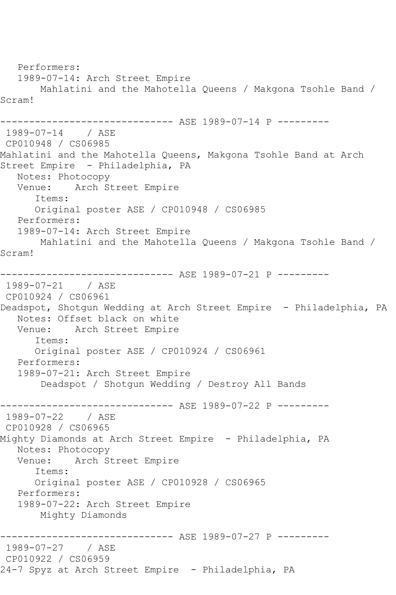```
 Performers:
   1989-07-14: Arch Street Empire
       Mahlatini and the Mahotella Queens / Makgona Tsohle Band / 
Scram!
                   ----------- ASE 1989-07-14 P ---------
1989-07-14 / ASE 
CP010948 / CS06985
Mahlatini and the Mahotella Queens, Makgona Tsohle Band at Arch 
Street Empire - Philadelphia, PA
   Notes: Photocopy
   Venue: Arch Street Empire
       Items:
       Original poster ASE / CP010948 / CS06985
   Performers:
   1989-07-14: Arch Street Empire
       Mahlatini and the Mahotella Queens / Makgona Tsohle Band / 
Scram!
------------------------------ ASE 1989-07-21 P ---------
1989-07-21 / ASE 
CP010924 / CS06961
Deadspot, Shotgun Wedding at Arch Street Empire - Philadelphia, PA
   Notes: Offset black on white
   Venue: Arch Street Empire
      Items:
       Original poster ASE / CP010924 / CS06961
   Performers:
   1989-07-21: Arch Street Empire
        Deadspot / Shotgun Wedding / Destroy All Bands
  ------------------------------ ASE 1989-07-22 P ---------
1989-07-22 / ASE 
CP010928 / CS06965
Mighty Diamonds at Arch Street Empire - Philadelphia, PA
   Notes: Photocopy
   Venue: Arch Street Empire
       Items:
      Original poster ASE / CP010928 / CS06965
   Performers:
   1989-07-22: Arch Street Empire
       Mighty Diamonds
      ------------------------------ ASE 1989-07-27 P ---------
1989-07-27 / ASE 
CP010922 / CS06959
24-7 Spyz at Arch Street Empire - Philadelphia, PA
```